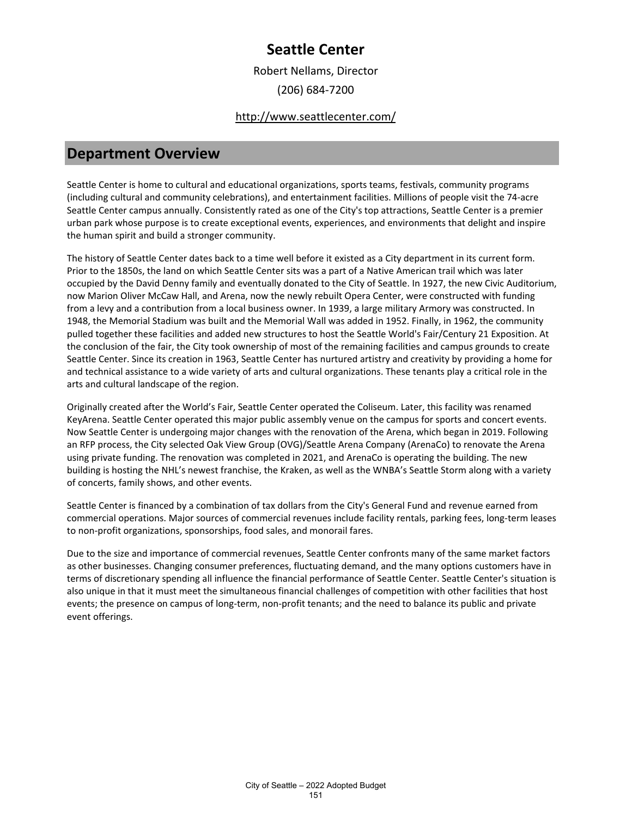Robert Nellams, Director (206) 684-7200

### <http://www.seattlecenter.com/>

### **Department Overview**

Seattle Center is home to cultural and educational organizations, sports teams, festivals, community programs (including cultural and community celebrations), and entertainment facilities. Millions of people visit the 74-acre Seattle Center campus annually. Consistently rated as one of the City's top attractions, Seattle Center is a premier urban park whose purpose is to create exceptional events, experiences, and environments that delight and inspire the human spirit and build a stronger community.

The history of Seattle Center dates back to a time well before it existed as a City department in its current form. Prior to the 1850s, the land on which Seattle Center sits was a part of a Native American trail which was later occupied by the David Denny family and eventually donated to the City of Seattle. In 1927, the new Civic Auditorium, now Marion Oliver McCaw Hall, and Arena, now the newly rebuilt Opera Center, were constructed with funding from a levy and a contribution from a local business owner. In 1939, a large military Armory was constructed. In 1948, the Memorial Stadium was built and the Memorial Wall was added in 1952. Finally, in 1962, the community pulled together these facilities and added new structures to host the Seattle World's Fair/Century 21 Exposition. At the conclusion of the fair, the City took ownership of most of the remaining facilities and campus grounds to create Seattle Center. Since its creation in 1963, Seattle Center has nurtured artistry and creativity by providing a home for and technical assistance to a wide variety of arts and cultural organizations. These tenants play a critical role in the arts and cultural landscape of the region.

Originally created after the World's Fair, Seattle Center operated the Coliseum. Later, this facility was renamed KeyArena. Seattle Center operated this major public assembly venue on the campus for sports and concert events. Now Seattle Center is undergoing major changes with the renovation of the Arena, which began in 2019. Following an RFP process, the City selected Oak View Group (OVG)/Seattle Arena Company (ArenaCo) to renovate the Arena using private funding. The renovation was completed in 2021, and ArenaCo is operating the building. The new building is hosting the NHL's newest franchise, the Kraken, as well as the WNBA's Seattle Storm along with a variety of concerts, family shows, and other events.

Seattle Center is financed by a combination of tax dollars from the City's General Fund and revenue earned from commercial operations. Major sources of commercial revenues include facility rentals, parking fees, long-term leases to non-profit organizations, sponsorships, food sales, and monorail fares.

Due to the size and importance of commercial revenues, Seattle Center confronts many of the same market factors as other businesses. Changing consumer preferences, fluctuating demand, and the many options customers have in terms of discretionary spending all influence the financial performance of Seattle Center. Seattle Center's situation is also unique in that it must meet the simultaneous financial challenges of competition with other facilities that host events; the presence on campus of long-term, non-profit tenants; and the need to balance its public and private event offerings.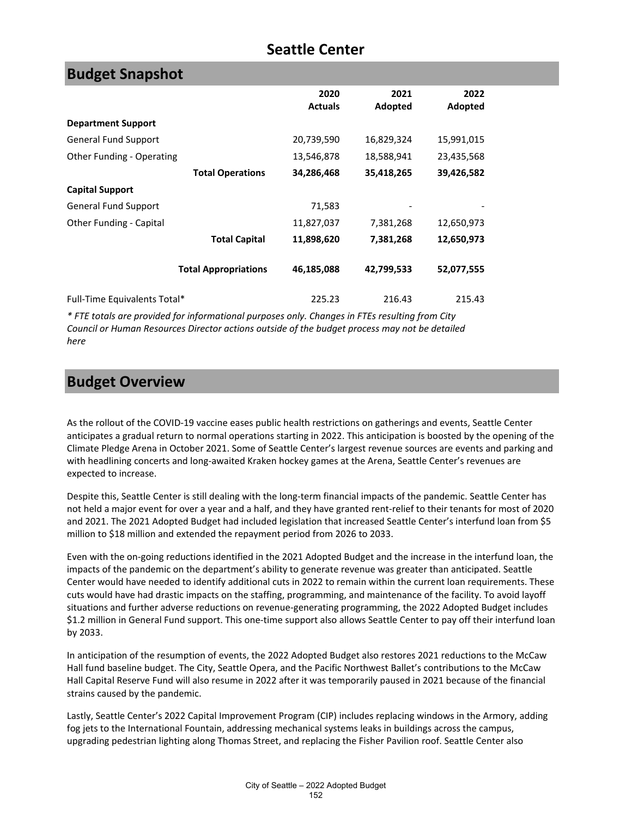| <b>Budget Snapshot</b>       |                             |                |            |            |
|------------------------------|-----------------------------|----------------|------------|------------|
|                              |                             | 2020           | 2021       | 2022       |
|                              |                             | <b>Actuals</b> | Adopted    | Adopted    |
| <b>Department Support</b>    |                             |                |            |            |
| <b>General Fund Support</b>  |                             | 20,739,590     | 16,829,324 | 15,991,015 |
| Other Funding - Operating    |                             | 13,546,878     | 18,588,941 | 23,435,568 |
|                              | <b>Total Operations</b>     | 34,286,468     | 35,418,265 | 39,426,582 |
| <b>Capital Support</b>       |                             |                |            |            |
| <b>General Fund Support</b>  |                             | 71,583         |            |            |
| Other Funding - Capital      |                             | 11,827,037     | 7,381,268  | 12,650,973 |
|                              | <b>Total Capital</b>        | 11,898,620     | 7,381,268  | 12,650,973 |
|                              | <b>Total Appropriations</b> | 46,185,088     | 42,799,533 | 52,077,555 |
| Full-Time Equivalents Total* |                             | 225.23         | 216.43     | 215.43     |

*\* FTE totals are provided for informational purposes only. Changes in FTEs resulting from City Council or Human Resources Director actions outside of the budget process may not be detailed here*

### **Budget Overview**

As the rollout of the COVID-19 vaccine eases public health restrictions on gatherings and events, Seattle Center anticipates a gradual return to normal operations starting in 2022. This anticipation is boosted by the opening of the Climate Pledge Arena in October 2021. Some of Seattle Center's largest revenue sources are events and parking and with headlining concerts and long-awaited Kraken hockey games at the Arena, Seattle Center's revenues are expected to increase.

Despite this, Seattle Center is still dealing with the long-term financial impacts of the pandemic. Seattle Center has not held a major event for over a year and a half, and they have granted rent-relief to their tenants for most of 2020 and 2021. The 2021 Adopted Budget had included legislation that increased Seattle Center's interfund loan from \$5 million to \$18 million and extended the repayment period from 2026 to 2033.

Even with the on-going reductions identified in the 2021 Adopted Budget and the increase in the interfund loan, the impacts of the pandemic on the department's ability to generate revenue was greater than anticipated. Seattle Center would have needed to identify additional cuts in 2022 to remain within the current loan requirements. These cuts would have had drastic impacts on the staffing, programming, and maintenance of the facility. To avoid layoff situations and further adverse reductions on revenue-generating programming, the 2022 Adopted Budget includes \$1.2 million in General Fund support. This one-time support also allows Seattle Center to pay off their interfund loan by 2033.

In anticipation of the resumption of events, the 2022 Adopted Budget also restores 2021 reductions to the McCaw Hall fund baseline budget. The City, Seattle Opera, and the Pacific Northwest Ballet's contributions to the McCaw Hall Capital Reserve Fund will also resume in 2022 after it was temporarily paused in 2021 because of the financial strains caused by the pandemic.

Lastly, Seattle Center's 2022 Capital Improvement Program (CIP) includes replacing windows in the Armory, adding fog jets to the International Fountain, addressing mechanical systems leaks in buildings across the campus, upgrading pedestrian lighting along Thomas Street, and replacing the Fisher Pavilion roof. Seattle Center also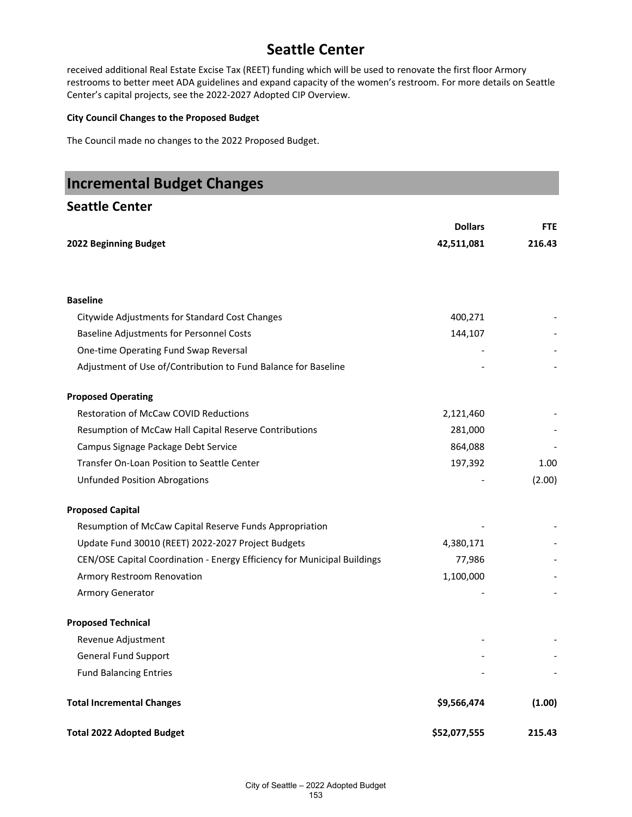received additional Real Estate Excise Tax (REET) funding which will be used to renovate the first floor Armory restrooms to better meet ADA guidelines and expand capacity of the women's restroom. For more details on Seattle Center's capital projects, see the 2022-2027 Adopted CIP Overview.

### **City Council Changes to the Proposed Budget**

The Council made no changes to the 2022 Proposed Budget.

| <b>Incremental Budget Changes</b>                                        |                |            |
|--------------------------------------------------------------------------|----------------|------------|
| <b>Seattle Center</b>                                                    |                |            |
|                                                                          | <b>Dollars</b> | <b>FTE</b> |
| 2022 Beginning Budget                                                    | 42,511,081     | 216.43     |
| <b>Baseline</b>                                                          |                |            |
| Citywide Adjustments for Standard Cost Changes                           | 400,271        |            |
| <b>Baseline Adjustments for Personnel Costs</b>                          | 144,107        |            |
| One-time Operating Fund Swap Reversal                                    |                |            |
| Adjustment of Use of/Contribution to Fund Balance for Baseline           |                |            |
| <b>Proposed Operating</b>                                                |                |            |
| <b>Restoration of McCaw COVID Reductions</b>                             | 2,121,460      |            |
| Resumption of McCaw Hall Capital Reserve Contributions                   | 281,000        |            |
| Campus Signage Package Debt Service                                      | 864,088        |            |
| Transfer On-Loan Position to Seattle Center                              | 197,392        | 1.00       |
| <b>Unfunded Position Abrogations</b>                                     |                | (2.00)     |
| <b>Proposed Capital</b>                                                  |                |            |
| Resumption of McCaw Capital Reserve Funds Appropriation                  |                |            |
| Update Fund 30010 (REET) 2022-2027 Project Budgets                       | 4,380,171      |            |
| CEN/OSE Capital Coordination - Energy Efficiency for Municipal Buildings | 77,986         |            |
| Armory Restroom Renovation                                               | 1,100,000      |            |
| Armory Generator                                                         |                |            |
| <b>Proposed Technical</b>                                                |                |            |
| Revenue Adjustment                                                       |                |            |
| <b>General Fund Support</b>                                              |                |            |
| <b>Fund Balancing Entries</b>                                            |                |            |
| <b>Total Incremental Changes</b>                                         | \$9,566,474    | (1.00)     |
| <b>Total 2022 Adopted Budget</b>                                         | \$52,077,555   | 215.43     |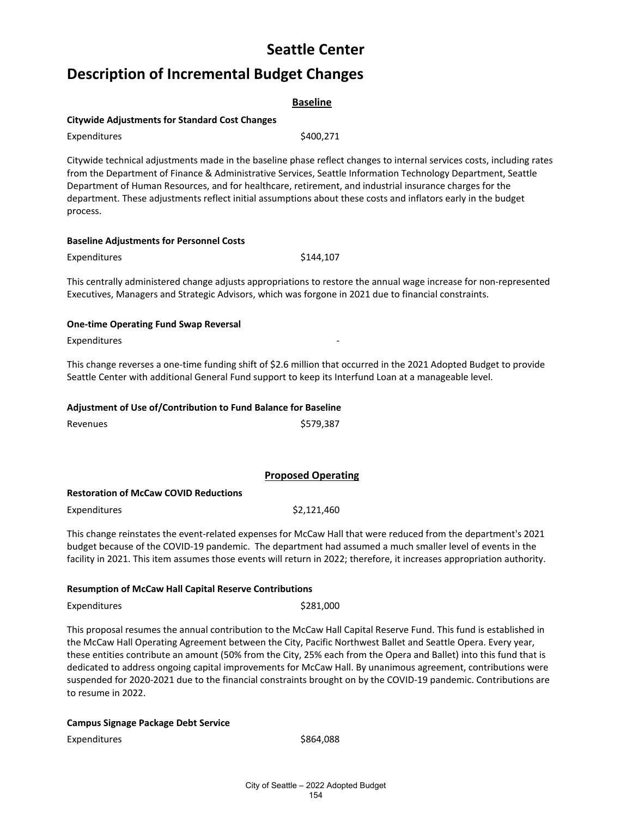# **Description of Incremental Budget Changes**

|                                                | <b>Baseline</b> |
|------------------------------------------------|-----------------|
| Citywide Adjustments for Standard Cost Changes |                 |
| Expenditures                                   | \$400.271       |

Citywide technical adjustments made in the baseline phase reflect changes to internal services costs, including rates from the Department of Finance & Administrative Services, Seattle Information Technology Department, Seattle Department of Human Resources, and for healthcare, retirement, and industrial insurance charges for the department. These adjustments reflect initial assumptions about these costs and inflators early in the budget process.

### **Baseline Adjustments for Personnel Costs**

Expenditures \$144,107

This centrally administered change adjusts appropriations to restore the annual wage increase for non-represented Executives, Managers and Strategic Advisors, which was forgone in 2021 due to financial constraints.

### **One-time Operating Fund Swap Reversal**

Expenditures

This change reverses a one-time funding shift of \$2.6 million that occurred in the 2021 Adopted Budget to provide Seattle Center with additional General Fund support to keep its Interfund Loan at a manageable level.

### **Adjustment of Use of/Contribution to Fund Balance for Baseline**

Revenues **\$579,387** 

**Proposed Operating**

### **Restoration of McCaw COVID Reductions**

Expenditures \$2,121,460

This change reinstates the event-related expenses for McCaw Hall that were reduced from the department's 2021 budget because of the COVID-19 pandemic. The department had assumed a much smaller level of events in the facility in 2021. This item assumes those events will return in 2022; therefore, it increases appropriation authority.

### **Resumption of McCaw Hall Capital Reserve Contributions**

### Expenditures \$281,000

This proposal resumes the annual contribution to the McCaw Hall Capital Reserve Fund. This fund is established in the McCaw Hall Operating Agreement between the City, Pacific Northwest Ballet and Seattle Opera. Every year, these entities contribute an amount (50% from the City, 25% each from the Opera and Ballet) into this fund that is dedicated to address ongoing capital improvements for McCaw Hall. By unanimous agreement, contributions were suspended for 2020-2021 due to the financial constraints brought on by the COVID-19 pandemic. Contributions are to resume in 2022.

### **Campus Signage Package Debt Service**

Expenditures \$864,088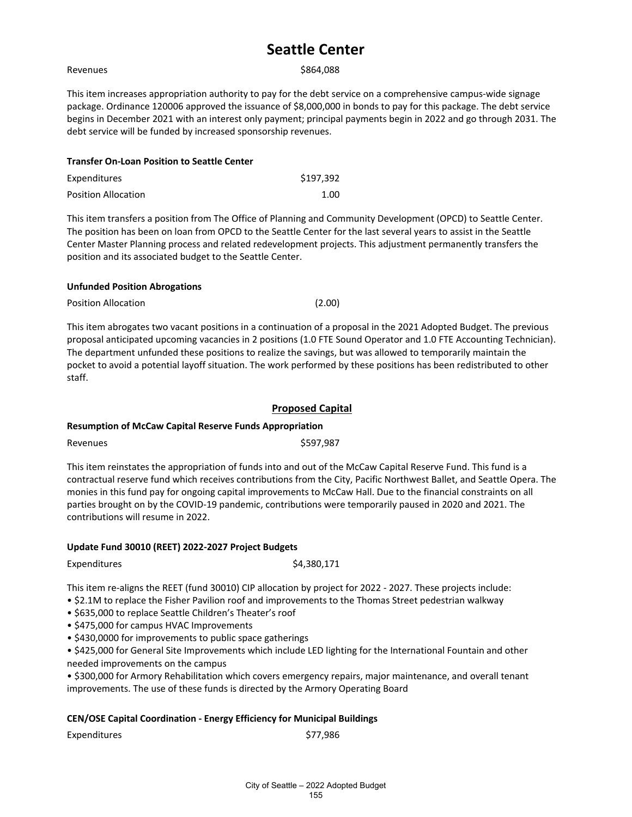#### Revenues \$864,088

This item increases appropriation authority to pay for the debt service on a comprehensive campus-wide signage package. Ordinance 120006 approved the issuance of \$8,000,000 in bonds to pay for this package. The debt service begins in December 2021 with an interest only payment; principal payments begin in 2022 and go through 2031. The debt service will be funded by increased sponsorship revenues.

| <b>Transfer On-Loan Position to Seattle Center</b> |           |
|----------------------------------------------------|-----------|
| Expenditures                                       | \$197.392 |
| <b>Position Allocation</b>                         | 1.00      |

This item transfers a position from The Office of Planning and Community Development (OPCD) to Seattle Center. The position has been on loan from OPCD to the Seattle Center for the last several years to assist in the Seattle Center Master Planning process and related redevelopment projects. This adjustment permanently transfers the position and its associated budget to the Seattle Center.

#### **Unfunded Position Abrogations**

Position Allocation (2.00)

This item abrogates two vacant positions in a continuation of a proposal in the 2021 Adopted Budget. The previous proposal anticipated upcoming vacancies in 2 positions (1.0 FTE Sound Operator and 1.0 FTE Accounting Technician). The department unfunded these positions to realize the savings, but was allowed to temporarily maintain the pocket to avoid a potential layoff situation. The work performed by these positions has been redistributed to other staff.

### **Proposed Capital**

### **Resumption of McCaw Capital Reserve Funds Appropriation**

Revenues  $$597,987$ 

This item reinstates the appropriation of funds into and out of the McCaw Capital Reserve Fund. This fund is a contractual reserve fund which receives contributions from the City, Pacific Northwest Ballet, and Seattle Opera. The monies in this fund pay for ongoing capital improvements to McCaw Hall. Due to the financial constraints on all parties brought on by the COVID-19 pandemic, contributions were temporarily paused in 2020 and 2021. The contributions will resume in 2022.

### **Update Fund 30010 (REET) 2022-2027 Project Budgets**

Expenditures  $\zeta$ 4,380,171

This item re-aligns the REET (fund 30010) CIP allocation by project for 2022 - 2027. These projects include:

- \$2.1M to replace the Fisher Pavilion roof and improvements to the Thomas Street pedestrian walkway
- \$635,000 to replace Seattle Children's Theater's roof
- \$475,000 for campus HVAC Improvements
- \$430,0000 for improvements to public space gatherings

• \$425,000 for General Site Improvements which include LED lighting for the International Fountain and other needed improvements on the campus

• \$300,000 for Armory Rehabilitation which covers emergency repairs, major maintenance, and overall tenant improvements. The use of these funds is directed by the Armory Operating Board

### **CEN/OSE Capital Coordination - Energy Efficiency for Municipal Buildings**

Expenditures \$77,986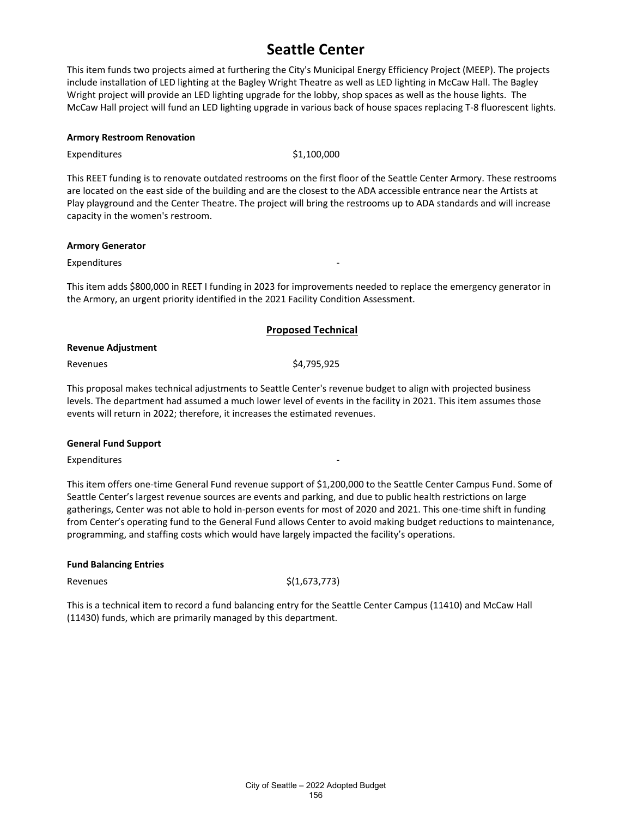This item funds two projects aimed at furthering the City's Municipal Energy Efficiency Project (MEEP). The projects include installation of LED lighting at the Bagley Wright Theatre as well as LED lighting in McCaw Hall. The Bagley Wright project will provide an LED lighting upgrade for the lobby, shop spaces as well as the house lights. The McCaw Hall project will fund an LED lighting upgrade in various back of house spaces replacing T-8 fluorescent lights.

#### **Armory Restroom Renovation**

Expenditures  $$1,100,000$ 

This REET funding is to renovate outdated restrooms on the first floor of the Seattle Center Armory. These restrooms are located on the east side of the building and are the closest to the ADA accessible entrance near the Artists at Play playground and the Center Theatre. The project will bring the restrooms up to ADA standards and will increase capacity in the women's restroom.

#### **Armory Generator**

**Expenditures** 

This item adds \$800,000 in REET I funding in 2023 for improvements needed to replace the emergency generator in the Armory, an urgent priority identified in the 2021 Facility Condition Assessment.

### **Proposed Technical**

#### **Revenue Adjustment**

Revenues \$4,795,925

This proposal makes technical adjustments to Seattle Center's revenue budget to align with projected business levels. The department had assumed a much lower level of events in the facility in 2021. This item assumes those events will return in 2022; therefore, it increases the estimated revenues.

#### **General Fund Support**

Expenditures

This item offers one-time General Fund revenue support of \$1,200,000 to the Seattle Center Campus Fund. Some of Seattle Center's largest revenue sources are events and parking, and due to public health restrictions on large gatherings, Center was not able to hold in-person events for most of 2020 and 2021. This one-time shift in funding from Center's operating fund to the General Fund allows Center to avoid making budget reductions to maintenance, programming, and staffing costs which would have largely impacted the facility's operations.

### **Fund Balancing Entries**

Revenues  $\zeta(1,673,773)$ 

This is a technical item to record a fund balancing entry for the Seattle Center Campus (11410) and McCaw Hall (11430) funds, which are primarily managed by this department.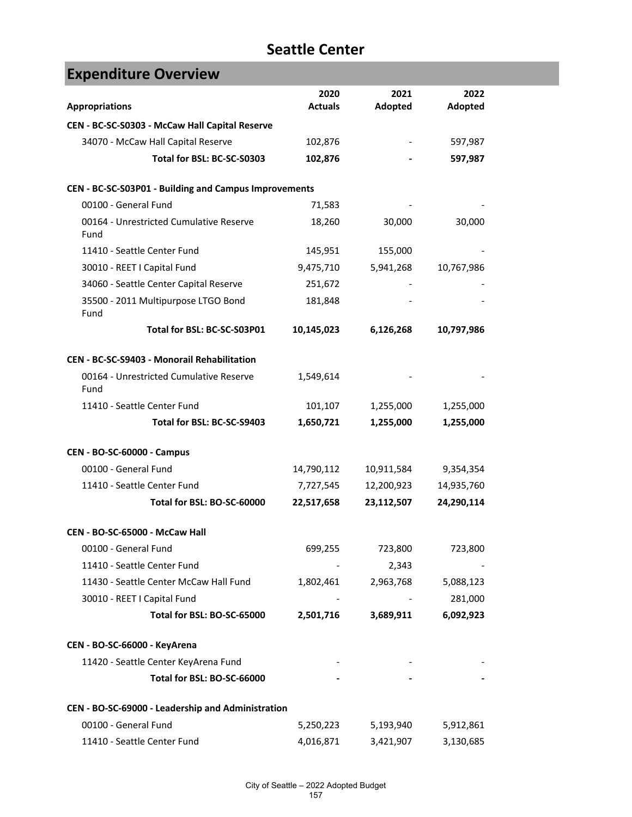| <b>Expenditure Overview</b>                           |                |            |            |
|-------------------------------------------------------|----------------|------------|------------|
|                                                       | 2020           | 2021       | 2022       |
| <b>Appropriations</b>                                 | <b>Actuals</b> | Adopted    | Adopted    |
| CEN - BC-SC-S0303 - McCaw Hall Capital Reserve        |                |            |            |
| 34070 - McCaw Hall Capital Reserve                    | 102,876        |            | 597,987    |
| Total for BSL: BC-SC-S0303                            | 102,876        |            | 597,987    |
| CEN - BC-SC-S03P01 - Building and Campus Improvements |                |            |            |
| 00100 - General Fund                                  | 71,583         |            |            |
| 00164 - Unrestricted Cumulative Reserve<br>Fund       | 18,260         | 30,000     | 30,000     |
| 11410 - Seattle Center Fund                           | 145,951        | 155,000    |            |
| 30010 - REET I Capital Fund                           | 9,475,710      | 5,941,268  | 10,767,986 |
| 34060 - Seattle Center Capital Reserve                | 251,672        |            |            |
| 35500 - 2011 Multipurpose LTGO Bond<br>Fund           | 181,848        |            |            |
| Total for BSL: BC-SC-S03P01                           | 10,145,023     | 6,126,268  | 10,797,986 |
| CEN - BC-SC-S9403 - Monorail Rehabilitation           |                |            |            |
| 00164 - Unrestricted Cumulative Reserve<br>Fund       | 1,549,614      |            |            |
| 11410 - Seattle Center Fund                           | 101,107        | 1,255,000  | 1,255,000  |
| Total for BSL: BC-SC-S9403                            | 1,650,721      | 1,255,000  | 1,255,000  |
| <b>CEN - BO-SC-60000 - Campus</b>                     |                |            |            |
| 00100 - General Fund                                  | 14,790,112     | 10,911,584 | 9,354,354  |
| 11410 - Seattle Center Fund                           | 7,727,545      | 12,200,923 | 14,935,760 |
| Total for BSL: BO-SC-60000                            | 22,517,658     | 23,112,507 | 24,290,114 |
| CEN - BO-SC-65000 - McCaw Hall                        |                |            |            |
| 00100 - General Fund                                  | 699,255        | 723,800    | 723,800    |
| 11410 - Seattle Center Fund                           |                | 2,343      |            |
| 11430 - Seattle Center McCaw Hall Fund                | 1,802,461      | 2,963,768  | 5,088,123  |
| 30010 - REET I Capital Fund                           |                |            | 281,000    |
| Total for BSL: BO-SC-65000                            | 2,501,716      | 3,689,911  | 6,092,923  |
| CEN - BO-SC-66000 - KeyArena                          |                |            |            |
| 11420 - Seattle Center KeyArena Fund                  |                |            |            |
| Total for BSL: BO-SC-66000                            |                |            |            |
| CEN - BO-SC-69000 - Leadership and Administration     |                |            |            |
| 00100 - General Fund                                  | 5,250,223      | 5,193,940  | 5,912,861  |
| 11410 - Seattle Center Fund                           | 4,016,871      | 3,421,907  | 3,130,685  |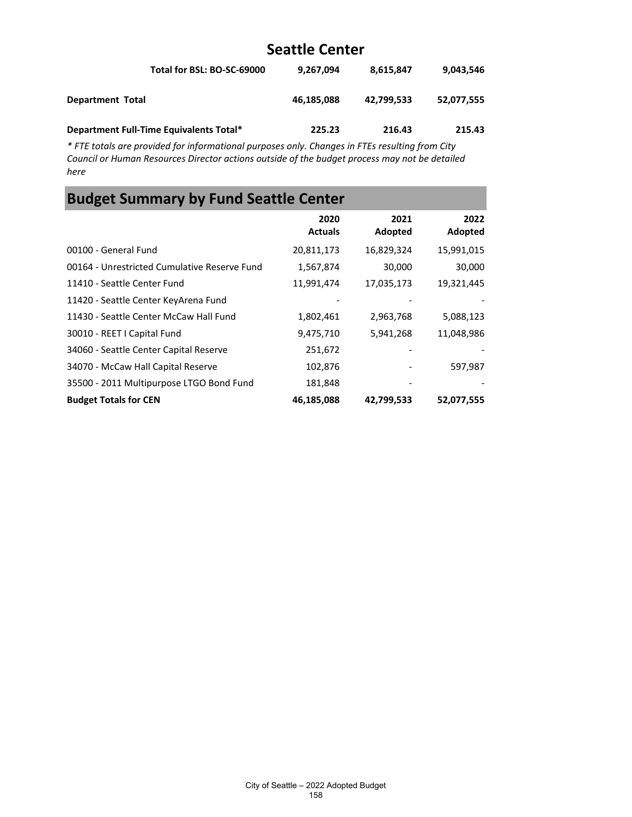| Total for BSL: BO-SC-69000              | 9,267,094  | 8.615.847  | 9.043.546  |
|-----------------------------------------|------------|------------|------------|
| <b>Department Total</b>                 | 46,185,088 | 42.799.533 | 52.077.555 |
| Department Full-Time Equivalents Total* | 225.23     | 216.43     | 215.43     |

*\* FTE totals are provided for informational purposes only. Changes in FTEs resulting from City Council or Human Resources Director actions outside of the budget process may not be detailed here*

### **Budget Summary by Fund Seattle Center 2020 Actuals 2021 Adopted 2022 Adopted** 00100 - General Fund 20,811,173 16,829,324 15,991,015 00164 - Unrestricted Cumulative Reserve Fund 1,567,874 30,000 30,000 11410 - Seattle Center Fund 11,991,474 17,035,173 19,321,445 11420 - Seattle Center KeyArena Fund 11430 - Seattle Center McCaw Hall Fund 1,802,461 2,963,768 5,088,123 30010 - REET I Capital Fund 9,475,710 5,941,268 11,048,986 34060 - Seattle Center Capital Reserve 251,672 - - 34070 - McCaw Hall Capital Reserve 102,876 - 597,987 35500 - 2011 Multipurpose LTGO Bond Fund 181,848 - - **Budget Totals for CEN 46,185,088 42,799,533 52,077,555**

#### City of Seattle – 2022 Adopted Budget 158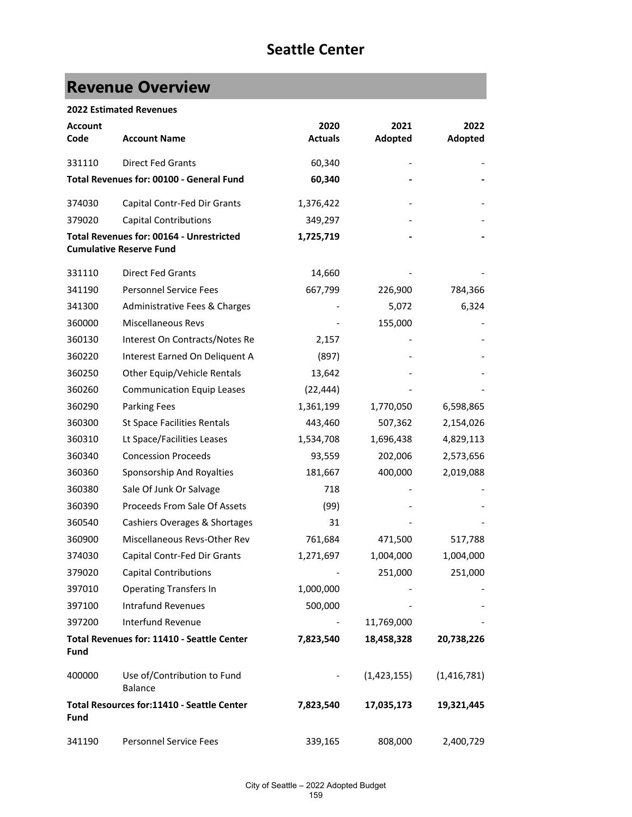# **Revenue Overview**

|  | <b>2022 Estimated Revenues</b> |  |
|--|--------------------------------|--|
|--|--------------------------------|--|

| <b>Account</b><br>Code | <b>Account Name</b>                                                               | 2020<br><b>Actuals</b> | 2021<br>Adopted | 2022<br>Adopted |
|------------------------|-----------------------------------------------------------------------------------|------------------------|-----------------|-----------------|
| 331110                 | <b>Direct Fed Grants</b>                                                          | 60,340                 |                 |                 |
|                        | Total Revenues for: 00100 - General Fund                                          | 60,340                 |                 |                 |
| 374030                 | Capital Contr-Fed Dir Grants                                                      | 1,376,422              |                 |                 |
| 379020                 | <b>Capital Contributions</b>                                                      | 349,297                |                 |                 |
|                        | <b>Total Revenues for: 00164 - Unrestricted</b><br><b>Cumulative Reserve Fund</b> | 1,725,719              |                 |                 |
| 331110                 | <b>Direct Fed Grants</b>                                                          | 14,660                 |                 |                 |
| 341190                 | <b>Personnel Service Fees</b>                                                     | 667,799                | 226,900         | 784,366         |
| 341300                 | Administrative Fees & Charges                                                     |                        | 5,072           | 6,324           |
| 360000                 | Miscellaneous Revs                                                                |                        | 155,000         |                 |
| 360130                 | Interest On Contracts/Notes Re                                                    | 2,157                  |                 |                 |
| 360220                 | Interest Earned On Deliquent A                                                    | (897)                  |                 |                 |
| 360250                 | Other Equip/Vehicle Rentals                                                       | 13,642                 |                 |                 |
| 360260                 | <b>Communication Equip Leases</b>                                                 | (22, 444)              |                 |                 |
| 360290                 | <b>Parking Fees</b>                                                               | 1,361,199              | 1,770,050       | 6,598,865       |
| 360300                 | <b>St Space Facilities Rentals</b>                                                | 443,460                | 507,362         | 2,154,026       |
| 360310                 | Lt Space/Facilities Leases                                                        | 1,534,708              | 1,696,438       | 4,829,113       |
| 360340                 | <b>Concession Proceeds</b>                                                        | 93,559                 | 202,006         | 2,573,656       |
| 360360                 | Sponsorship And Royalties                                                         | 181,667                | 400,000         | 2,019,088       |
| 360380                 | Sale Of Junk Or Salvage                                                           | 718                    |                 |                 |
| 360390                 | Proceeds From Sale Of Assets                                                      | (99)                   |                 |                 |
| 360540                 | Cashiers Overages & Shortages                                                     | 31                     |                 |                 |
| 360900                 | Miscellaneous Revs-Other Rev                                                      | 761,684                | 471,500         | 517,788         |
| 374030                 | Capital Contr-Fed Dir Grants                                                      | 1,271,697              | 1,004,000       | 1,004,000       |
| 379020                 | <b>Capital Contributions</b>                                                      |                        | 251,000         | 251,000         |
| 397010                 | <b>Operating Transfers In</b>                                                     | 1,000,000              |                 |                 |
| 397100                 | <b>Intrafund Revenues</b>                                                         | 500,000                |                 |                 |
| 397200                 | Interfund Revenue                                                                 |                        | 11,769,000      |                 |
| Fund                   | Total Revenues for: 11410 - Seattle Center                                        | 7,823,540              | 18,458,328      | 20,738,226      |
| 400000                 | Use of/Contribution to Fund<br><b>Balance</b>                                     |                        | (1,423,155)     | (1, 416, 781)   |
| <b>Fund</b>            | Total Resources for:11410 - Seattle Center                                        | 7,823,540              | 17,035,173      | 19,321,445      |
| 341190                 | <b>Personnel Service Fees</b>                                                     | 339,165                | 808,000         | 2,400,729       |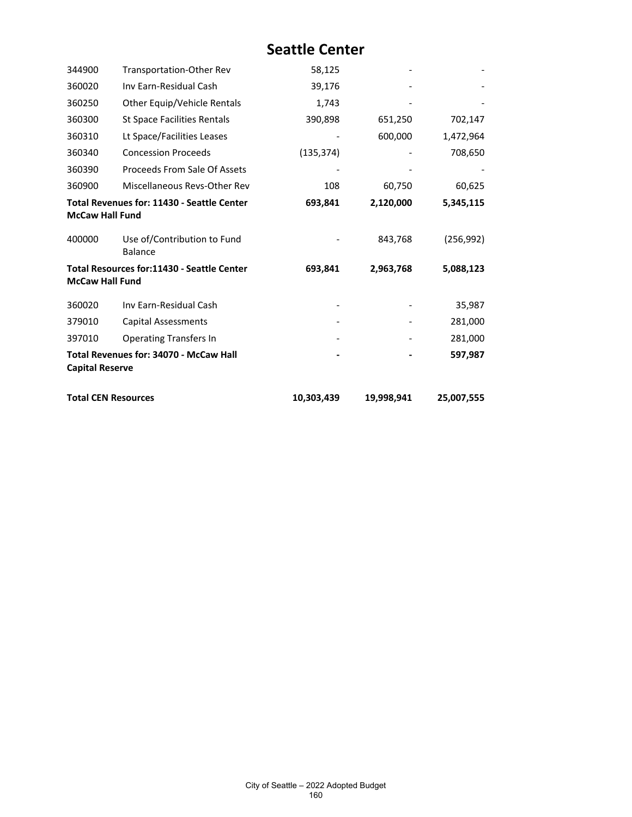| 344900                     | Transportation-Other Rev                          | 58,125     |            |            |
|----------------------------|---------------------------------------------------|------------|------------|------------|
| 360020                     | Inv Earn-Residual Cash                            | 39,176     |            |            |
| 360250                     | Other Equip/Vehicle Rentals                       | 1,743      |            |            |
| 360300                     | <b>St Space Facilities Rentals</b>                | 390,898    | 651,250    | 702,147    |
| 360310                     | Lt Space/Facilities Leases                        |            | 600,000    | 1,472,964  |
| 360340                     | <b>Concession Proceeds</b>                        | (135, 374) |            | 708,650    |
| 360390                     | Proceeds From Sale Of Assets                      |            |            |            |
| 360900                     | Miscellaneous Revs-Other Rev                      | 108        | 60,750     | 60,625     |
| <b>McCaw Hall Fund</b>     | <b>Total Revenues for: 11430 - Seattle Center</b> | 693,841    | 2,120,000  | 5,345,115  |
| 400000                     | Use of/Contribution to Fund<br><b>Balance</b>     |            | 843,768    | (256, 992) |
| <b>McCaw Hall Fund</b>     | <b>Total Resources for:11430 - Seattle Center</b> | 693,841    | 2,963,768  | 5,088,123  |
| 360020                     | Inv Earn-Residual Cash                            |            |            | 35,987     |
| 379010                     | <b>Capital Assessments</b>                        |            |            | 281,000    |
| 397010                     | <b>Operating Transfers In</b>                     |            |            | 281,000    |
| <b>Capital Reserve</b>     | <b>Total Revenues for: 34070 - McCaw Hall</b>     |            |            | 597,987    |
| <b>Total CEN Resources</b> |                                                   | 10,303,439 | 19,998,941 | 25,007,555 |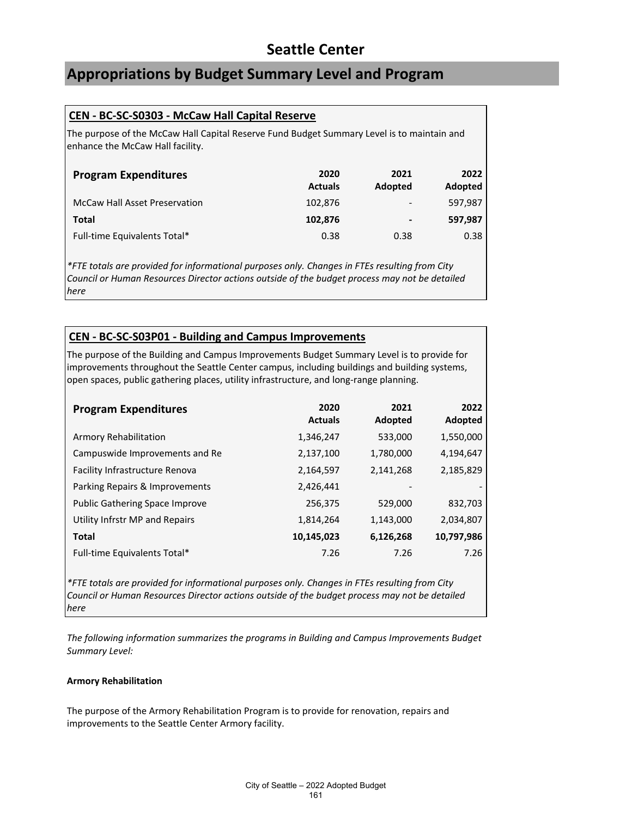### **Appropriations by Budget Summary Level and Program**

### **CEN - BC-SC-S0303 - McCaw Hall Capital Reserve**

The purpose of the McCaw Hall Capital Reserve Fund Budget Summary Level is to maintain and enhance the McCaw Hall facility.

| <b>Program Expenditures</b>          | 2020<br><b>Actuals</b> | 2021<br>Adopted          | 2022<br><b>Adopted</b> |
|--------------------------------------|------------------------|--------------------------|------------------------|
| <b>McCaw Hall Asset Preservation</b> | 102,876                | $\overline{\phantom{a}}$ | 597.987                |
| Total                                | 102,876                | -                        | 597,987                |
| Full-time Equivalents Total*         | 0.38                   | 0.38                     | 0.38                   |

*\*FTE totals are provided for informational purposes only. Changes in FTEs resulting from City Council or Human Resources Director actions outside of the budget process may not be detailed here*

### **CEN - BC-SC-S03P01 - Building and Campus Improvements**

The purpose of the Building and Campus Improvements Budget Summary Level is to provide for improvements throughout the Seattle Center campus, including buildings and building systems, open spaces, public gathering places, utility infrastructure, and long-range planning.

| <b>Program Expenditures</b>           | 2020<br><b>Actuals</b> | 2021<br>Adopted | 2022<br>Adopted |
|---------------------------------------|------------------------|-----------------|-----------------|
| Armory Rehabilitation                 | 1,346,247              | 533,000         | 1,550,000       |
| Campuswide Improvements and Re        | 2,137,100              | 1,780,000       | 4,194,647       |
| Facility Infrastructure Renova        | 2,164,597              | 2,141,268       | 2,185,829       |
| Parking Repairs & Improvements        | 2,426,441              |                 |                 |
| <b>Public Gathering Space Improve</b> | 256,375                | 529,000         | 832,703         |
| Utility Infrstr MP and Repairs        | 1,814,264              | 1,143,000       | 2,034,807       |
| <b>Total</b>                          | 10,145,023             | 6,126,268       | 10,797,986      |
| Full-time Equivalents Total*          | 7.26                   | 7.26            | 7.26            |

*\*FTE totals are provided for informational purposes only. Changes in FTEs resulting from City Council or Human Resources Director actions outside of the budget process may not be detailed here*

*The following information summarizes the programs in Building and Campus Improvements Budget Summary Level:*

### **Armory Rehabilitation**

The purpose of the Armory Rehabilitation Program is to provide for renovation, repairs and improvements to the Seattle Center Armory facility.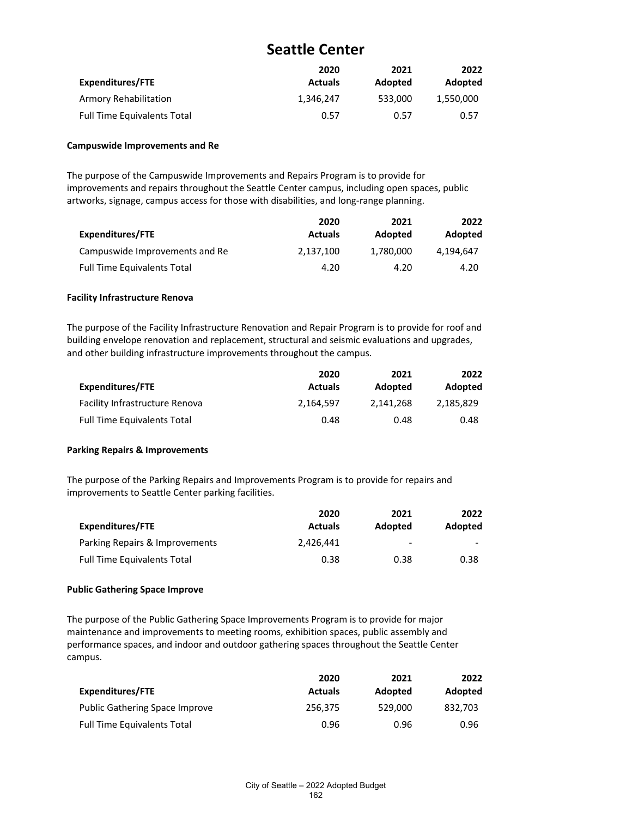| Expenditures/FTE                   | 2020<br><b>Actuals</b> | 2021<br><b>Adopted</b> | 2022<br>Adopted |
|------------------------------------|------------------------|------------------------|-----------------|
| Armory Rehabilitation              | 1.346.247              | 533.000                | 1,550,000       |
| <b>Full Time Equivalents Total</b> | 0.57                   | 0.57                   | 0.57            |

#### **Campuswide Improvements and Re**

The purpose of the Campuswide Improvements and Repairs Program is to provide for improvements and repairs throughout the Seattle Center campus, including open spaces, public artworks, signage, campus access for those with disabilities, and long-range planning.

|                                    | 2020           | 2021      | 2022      |
|------------------------------------|----------------|-----------|-----------|
| <b>Expenditures/FTE</b>            | <b>Actuals</b> | Adopted   | Adopted   |
| Campuswide Improvements and Re     | 2.137.100      | 1.780.000 | 4.194.647 |
| <b>Full Time Equivalents Total</b> | 4.20           | 4.20      | 4.20      |

#### **Facility Infrastructure Renova**

The purpose of the Facility Infrastructure Renovation and Repair Program is to provide for roof and building envelope renovation and replacement, structural and seismic evaluations and upgrades, and other building infrastructure improvements throughout the campus.

|                                       | 2020           | 2021      | 2022      |
|---------------------------------------|----------------|-----------|-----------|
| Expenditures/FTE                      | <b>Actuals</b> | Adopted   | Adopted   |
| <b>Facility Infrastructure Renova</b> | 2.164.597      | 2.141.268 | 2.185.829 |
| <b>Full Time Equivalents Total</b>    | 0.48           | 0.48      | 0.48      |

### **Parking Repairs & Improvements**

The purpose of the Parking Repairs and Improvements Program is to provide for repairs and improvements to Seattle Center parking facilities.

|                                    | 2020           | 2021                         | 2022                     |
|------------------------------------|----------------|------------------------------|--------------------------|
| Expenditures/FTE                   | <b>Actuals</b> | <b>Adopted</b>               | Adopted                  |
| Parking Repairs & Improvements     | 2.426.441      | $\qquad \qquad \blacksquare$ | $\overline{\phantom{0}}$ |
| <b>Full Time Equivalents Total</b> | 0.38           | 0.38                         | 0.38                     |

### **Public Gathering Space Improve**

The purpose of the Public Gathering Space Improvements Program is to provide for major maintenance and improvements to meeting rooms, exhibition spaces, public assembly and performance spaces, and indoor and outdoor gathering spaces throughout the Seattle Center campus.

|                                       | 2020           | 2021    | 2022    |
|---------------------------------------|----------------|---------|---------|
| Expenditures/FTE                      | <b>Actuals</b> | Adopted | Adopted |
| <b>Public Gathering Space Improve</b> | 256,375        | 529.000 | 832.703 |
| <b>Full Time Equivalents Total</b>    | 0.96           | 0.96    | 0.96    |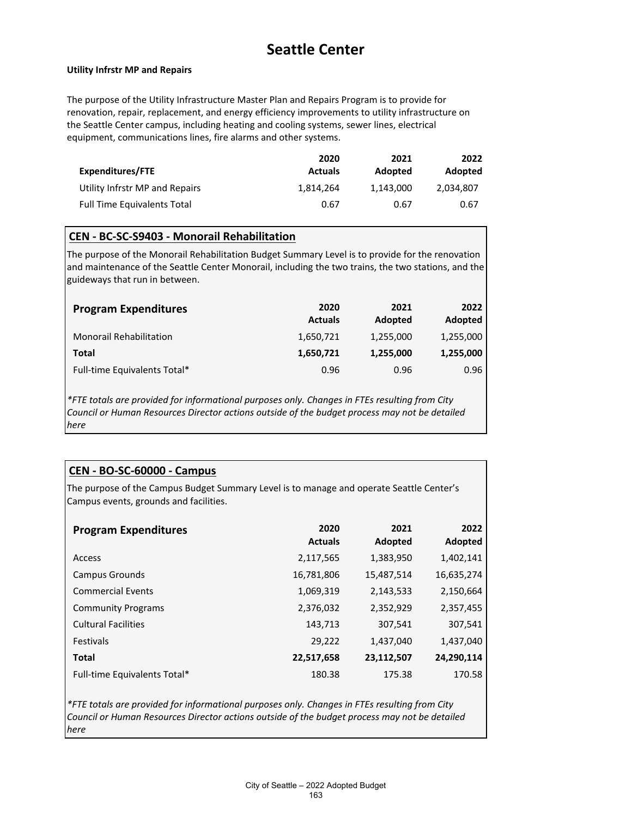#### **Utility Infrstr MP and Repairs**

The purpose of the Utility Infrastructure Master Plan and Repairs Program is to provide for renovation, repair, replacement, and energy efficiency improvements to utility infrastructure on the Seattle Center campus, including heating and cooling systems, sewer lines, electrical equipment, communications lines, fire alarms and other systems.

|                                    | 2020           | 2021      | 2022      |
|------------------------------------|----------------|-----------|-----------|
| Expenditures/FTE                   | <b>Actuals</b> | Adopted   | Adopted   |
| Utility Infrstr MP and Repairs     | 1,814,264      | 1.143.000 | 2.034.807 |
| <b>Full Time Equivalents Total</b> | 0.67           | 0.67      | 0.67      |

### **CEN - BC-SC-S9403 - Monorail Rehabilitation**

The purpose of the Monorail Rehabilitation Budget Summary Level is to provide for the renovation and maintenance of the Seattle Center Monorail, including the two trains, the two stations, and the guideways that run in between.

| <b>Program Expenditures</b>    | 2020<br><b>Actuals</b> | 2021<br>Adopted | 2022<br>Adopted |
|--------------------------------|------------------------|-----------------|-----------------|
| <b>Monorail Rehabilitation</b> | 1,650,721              | 1,255,000       | 1,255,000       |
| Total                          | 1,650,721              | 1,255,000       | 1,255,000       |
| Full-time Equivalents Total*   | 0.96                   | 0.96            | 0.96            |

*\*FTE totals are provided for informational purposes only. Changes in FTEs resulting from City Council or Human Resources Director actions outside of the budget process may not be detailed here*

### **CEN - BO-SC-60000 - Campus**

The purpose of the Campus Budget Summary Level is to manage and operate Seattle Center's Campus events, grounds and facilities.

| <b>Program Expenditures</b>  | 2020<br><b>Actuals</b> | 2021<br>Adopted | 2022<br>Adopted |
|------------------------------|------------------------|-----------------|-----------------|
| Access                       | 2,117,565              | 1,383,950       | 1,402,141       |
| Campus Grounds               | 16,781,806             | 15,487,514      | 16,635,274      |
| <b>Commercial Events</b>     | 1,069,319              | 2,143,533       | 2,150,664       |
| <b>Community Programs</b>    | 2,376,032              | 2,352,929       | 2,357,455       |
| <b>Cultural Facilities</b>   | 143,713                | 307,541         | 307,541         |
| <b>Festivals</b>             | 29,222                 | 1,437,040       | 1,437,040       |
| <b>Total</b>                 | 22,517,658             | 23,112,507      | 24,290,114      |
| Full-time Equivalents Total* | 180.38                 | 175.38          | 170.58          |

*\*FTE totals are provided for informational purposes only. Changes in FTEs resulting from City Council or Human Resources Director actions outside of the budget process may not be detailed here*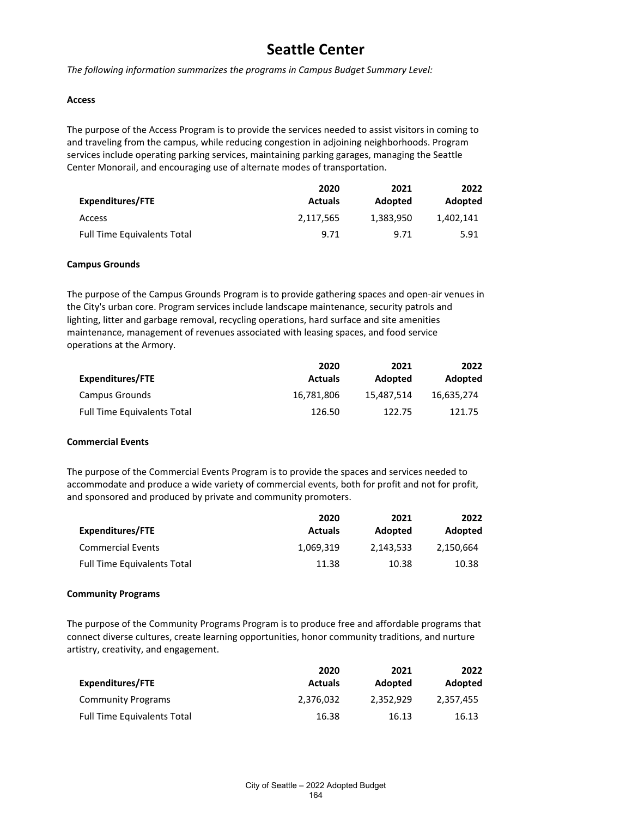*The following information summarizes the programs in Campus Budget Summary Level:*

#### **Access**

The purpose of the Access Program is to provide the services needed to assist visitors in coming to and traveling from the campus, while reducing congestion in adjoining neighborhoods. Program services include operating parking services, maintaining parking garages, managing the Seattle Center Monorail, and encouraging use of alternate modes of transportation.

|                                    | 2020           | 2021      | 2022      |
|------------------------------------|----------------|-----------|-----------|
| Expenditures/FTE                   | <b>Actuals</b> | Adopted   | Adopted   |
| Access                             | 2,117,565      | 1,383,950 | 1.402.141 |
| <b>Full Time Equivalents Total</b> | 9.71           | 9.71      | 5.91      |

#### **Campus Grounds**

The purpose of the Campus Grounds Program is to provide gathering spaces and open-air venues in the City's urban core. Program services include landscape maintenance, security patrols and lighting, litter and garbage removal, recycling operations, hard surface and site amenities maintenance, management of revenues associated with leasing spaces, and food service operations at the Armory.

|                                    | 2020           | 2021       | 2022       |
|------------------------------------|----------------|------------|------------|
| Expenditures/FTE                   | <b>Actuals</b> | Adopted    | Adopted    |
| Campus Grounds                     | 16.781.806     | 15.487.514 | 16.635.274 |
| <b>Full Time Equivalents Total</b> | 126.50         | 122.75     | 121.75     |

### **Commercial Events**

The purpose of the Commercial Events Program is to provide the spaces and services needed to accommodate and produce a wide variety of commercial events, both for profit and not for profit, and sponsored and produced by private and community promoters.

|                                    | 2020           | 2021      | 2022      |
|------------------------------------|----------------|-----------|-----------|
| Expenditures/FTE                   | <b>Actuals</b> | Adopted   | Adopted   |
| <b>Commercial Events</b>           | 1,069,319      | 2.143.533 | 2,150,664 |
| <b>Full Time Equivalents Total</b> | 11.38          | 10.38     | 10.38     |

#### **Community Programs**

The purpose of the Community Programs Program is to produce free and affordable programs that connect diverse cultures, create learning opportunities, honor community traditions, and nurture artistry, creativity, and engagement.

|                                    | 2020           | 2021      | 2022      |
|------------------------------------|----------------|-----------|-----------|
| <b>Expenditures/FTE</b>            | <b>Actuals</b> | Adopted   | Adopted   |
| <b>Community Programs</b>          | 2,376,032      | 2.352.929 | 2,357,455 |
| <b>Full Time Equivalents Total</b> | 16.38          | 16.13     | 16.13     |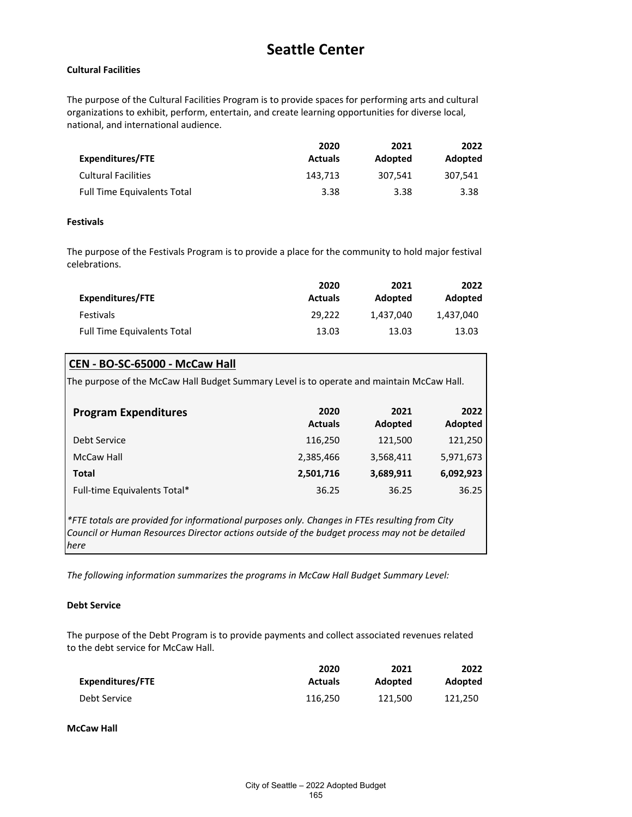### **Cultural Facilities**

The purpose of the Cultural Facilities Program is to provide spaces for performing arts and cultural organizations to exhibit, perform, entertain, and create learning opportunities for diverse local, national, and international audience.

|                                    | 2020           | 2021    | 2022    |
|------------------------------------|----------------|---------|---------|
| Expenditures/FTE                   | <b>Actuals</b> | Adopted | Adopted |
| <b>Cultural Facilities</b>         | 143.713        | 307.541 | 307.541 |
| <b>Full Time Equivalents Total</b> | 3.38           | 3.38    | 3.38    |

### **Festivals**

The purpose of the Festivals Program is to provide a place for the community to hold major festival celebrations.

|                                    | 2020           | 2021      | 2022      |
|------------------------------------|----------------|-----------|-----------|
| <b>Expenditures/FTE</b>            | <b>Actuals</b> | Adopted   | Adopted   |
| <b>Festivals</b>                   | 29.222         | 1.437.040 | 1.437.040 |
| <b>Full Time Equivalents Total</b> | 13.03          | 13.03     | 13.03     |

### **CEN - BO-SC-65000 - McCaw Hall**

The purpose of the McCaw Hall Budget Summary Level is to operate and maintain McCaw Hall.

| <b>Program Expenditures</b>  | 2020<br><b>Actuals</b> | 2021<br>Adopted | 2022<br>Adopted |
|------------------------------|------------------------|-----------------|-----------------|
| Debt Service                 | 116,250                | 121,500         | 121,250         |
| McCaw Hall                   | 2,385,466              | 3,568,411       | 5,971,673       |
| Total                        | 2,501,716              | 3,689,911       | 6,092,923       |
| Full-time Equivalents Total* | 36.25                  | 36.25           | 36.25           |

*\*FTE totals are provided for informational purposes only. Changes in FTEs resulting from City Council or Human Resources Director actions outside of the budget process may not be detailed here*

*The following information summarizes the programs in McCaw Hall Budget Summary Level:*

### **Debt Service**

The purpose of the Debt Program is to provide payments and collect associated revenues related to the debt service for McCaw Hall.

|                  | 2020           | 2021    | 2022    |
|------------------|----------------|---------|---------|
| Expenditures/FTE | <b>Actuals</b> | Adopted | Adopted |
| Debt Service     | 116.250        | 121.500 | 121.250 |

**McCaw Hall**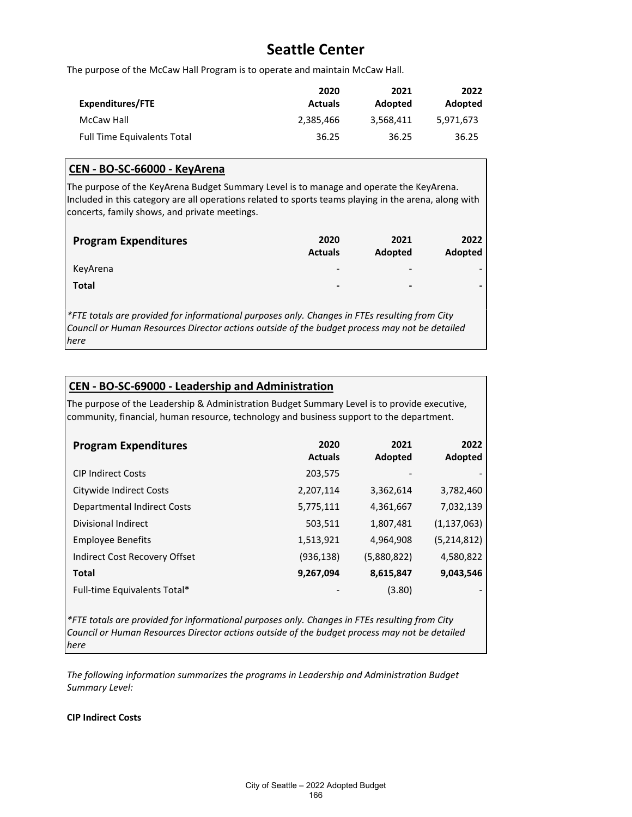The purpose of the McCaw Hall Program is to operate and maintain McCaw Hall.

|                                    | 2020           | 2021           | 2022      |
|------------------------------------|----------------|----------------|-----------|
| Expenditures/FTE                   | <b>Actuals</b> | <b>Adopted</b> | Adopted   |
| McCaw Hall                         | 2,385,466      | 3.568.411      | 5.971.673 |
| <b>Full Time Equivalents Total</b> | 36.25          | 36.25          | 36.25     |

### **CEN - BO-SC-66000 - KeyArena**

The purpose of the KeyArena Budget Summary Level is to manage and operate the KeyArena. Included in this category are all operations related to sports teams playing in the arena, along with concerts, family shows, and private meetings.

| <b>Program Expenditures</b>                                                                                                                                                                    | 2020<br><b>Actuals</b>   | 2021<br><b>Adopted</b>   | 2022<br>Adopted |
|------------------------------------------------------------------------------------------------------------------------------------------------------------------------------------------------|--------------------------|--------------------------|-----------------|
| KeyArena                                                                                                                                                                                       | $\overline{\phantom{a}}$ |                          |                 |
| <b>Total</b>                                                                                                                                                                                   | $\,$                     | $\overline{\phantom{0}}$ |                 |
| *FTE totals are provided for informational purposes only. Changes in FTEs resulting from City<br>Council or Human Resources Director actions outside of the budget process may not be detailed |                          |                          |                 |

*here*

### **CEN - BO-SC-69000 - Leadership and Administration**

The purpose of the Leadership & Administration Budget Summary Level is to provide executive, community, financial, human resource, technology and business support to the department.

| <b>Program Expenditures</b>        | 2020<br><b>Actuals</b> | 2021<br>Adopted | 2022<br>Adopted |
|------------------------------------|------------------------|-----------------|-----------------|
| <b>CIP Indirect Costs</b>          | 203,575                |                 |                 |
| Citywide Indirect Costs            | 2,207,114              | 3,362,614       | 3,782,460       |
| <b>Departmental Indirect Costs</b> | 5,775,111              | 4,361,667       | 7,032,139       |
| <b>Divisional Indirect</b>         | 503,511                | 1,807,481       | (1, 137, 063)   |
| <b>Employee Benefits</b>           | 1,513,921              | 4,964,908       | (5, 214, 812)   |
| Indirect Cost Recovery Offset      | (936, 138)             | (5,880,822)     | 4,580,822       |
| <b>Total</b>                       | 9,267,094              | 8,615,847       | 9,043,546       |
| Full-time Equivalents Total*       |                        | (3.80)          |                 |

*\*FTE totals are provided for informational purposes only. Changes in FTEs resulting from City Council or Human Resources Director actions outside of the budget process may not be detailed here*

*The following information summarizes the programs in Leadership and Administration Budget Summary Level:*

**CIP Indirect Costs**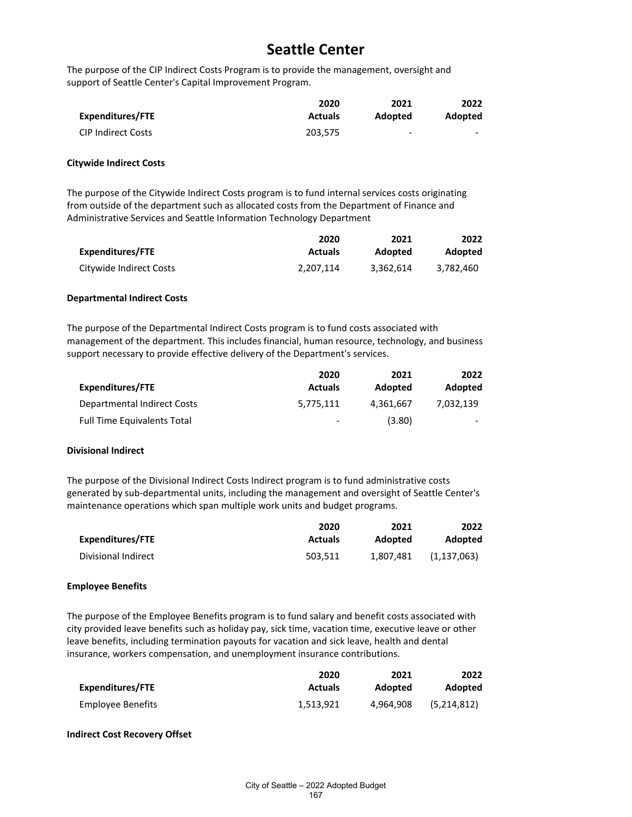The purpose of the CIP Indirect Costs Program is to provide the management, oversight and support of Seattle Center's Capital Improvement Program.

|                           | 2020           | 2021    | 2022    |
|---------------------------|----------------|---------|---------|
| Expenditures/FTE          | <b>Actuals</b> | Adopted | Adopted |
| <b>CIP Indirect Costs</b> | 203.575        | -       | -       |

#### **Citywide Indirect Costs**

The purpose of the Citywide Indirect Costs program is to fund internal services costs originating from outside of the department such as allocated costs from the Department of Finance and Administrative Services and Seattle Information Technology Department

|                         | 2020           | 2021      | 2022           |
|-------------------------|----------------|-----------|----------------|
| Expenditures/FTE        | <b>Actuals</b> | Adopted   | <b>Adopted</b> |
| Citywide Indirect Costs | 2.207.114      | 3.362.614 | 3.782.460      |

#### **Departmental Indirect Costs**

The purpose of the Departmental Indirect Costs program is to fund costs associated with management of the department. This includes financial, human resource, technology, and business support necessary to provide effective delivery of the Department's services.

|                                    | 2020           | 2021      | 2022                     |
|------------------------------------|----------------|-----------|--------------------------|
| Expenditures/FTE                   | <b>Actuals</b> | Adopted   | Adopted                  |
| Departmental Indirect Costs        | 5.775.111      | 4.361.667 | 7.032.139                |
| <b>Full Time Equivalents Total</b> | -              | (3.80)    | $\overline{\phantom{0}}$ |

#### **Divisional Indirect**

The purpose of the Divisional Indirect Costs Indirect program is to fund administrative costs generated by sub-departmental units, including the management and oversight of Seattle Center's maintenance operations which span multiple work units and budget programs.

|                     | 2020           | 2021      | 2022          |
|---------------------|----------------|-----------|---------------|
| Expenditures/FTE    | <b>Actuals</b> | Adopted   | Adopted       |
| Divisional Indirect | 503.511        | 1.807.481 | (1, 137, 063) |

### **Employee Benefits**

The purpose of the Employee Benefits program is to fund salary and benefit costs associated with city provided leave benefits such as holiday pay, sick time, vacation time, executive leave or other leave benefits, including termination payouts for vacation and sick leave, health and dental insurance, workers compensation, and unemployment insurance contributions.

|                   | 2020           | 2021      | 2022           |
|-------------------|----------------|-----------|----------------|
| Expenditures/FTE  | <b>Actuals</b> | Adopted   | <b>Adopted</b> |
| Employee Benefits | 1.513.921      | 4.964.908 | (5,214,812)    |

### **Indirect Cost Recovery Offset**